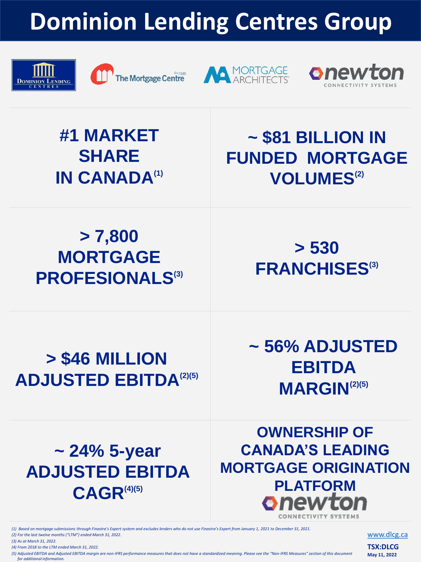**#1 MARKET SHARE IN CANADA(1)**

*(1) Based on mortgage submissions through Finastra's Expert system and excludes lenders who do not use Finastra's Expert from January 1, 2021 to December 31, 2021.*

*(2) For the last twelve months ("LTM") ended March 31, 2022.*

*(3) As at March 31, 2022.*

*(4) From 2018 to the LTM ended March 31, 2022.*

#### **OWNERSHIP OF CANADA'S LEADING MORTGAGE ORIGINATION PLATFORM**<br>**Phewton** CONNECTIVITY SYSTEM

*(5) Adjusted EBITDA and Adjusted EBITDA margin are non-IFRS performance measures that does not have a standardized meaning. Please see the "Non-IFRS Measures" section of this document for additional information.*

### **~ \$81 BILLION IN FUNDED MORTGAGE VOLUMES(2)**

**> 7,800 MORTGAGE PROFESIONALS(3)**

**> 530 FRANCHISES(3)**

## **> \$46 MILLION ADJUSTED EBITDA(2)(5)**

**~ 56% ADJUSTED EBITDA MARGIN(2)(5)**

### **~ 24% 5-year ADJUSTED EBITDA CAGR(4)(5)**

[www.dlcg.ca](http://www.dlcg.ca/)

**TSX:DLCG May 11, 2022**

# **Dominion Lending Centres Group**





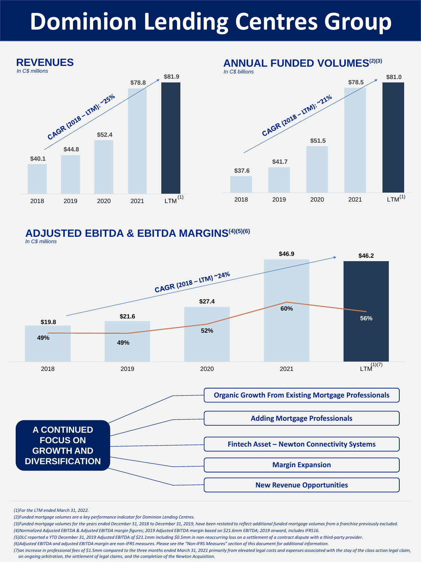#### **\$37.6 \$41.7**  CAGR (2018 - LTM): ~21<sup>0/0</sup><br>S51.5 **\$78.5 \$81.0**  2018 2019 2020 2021 LTM **ANNUAL FUNDED VOLUMES(2)(3)** *In C\$ billions*  $(1)$  (1)  $(2018)$   $(2010)$   $(2020)$   $(2021)$   $(1)$



*In C\$ millions*



#### **ADJUSTED EBITDA & EBITDA MARGINS(4)(5)(6)**

*(1)For the LTM ended March 31, 2022.*

*(2)Funded mortgage volumes are a key performance indicator for Dominion Lending Centres.*

*(3)Funded mortgage volumes for the years ended December 31, 2018 to December 31, 2019, have been restated to reflect additional funded mortgage volumes from a franchise previously excluded.* 

*(4)Normalized Adjusted EBITDA & Adjusted EBITDA margin figures; 2019 Adjusted EBITDA margin based on \$21.6mm EBITDA; 2019 onward, includes IFRS16.*

*(5)DLC reported a YTD December 31, 2019 Adjusted EBITDA of \$21.1mm including \$0.5mm in non-reoccurring loss on a settlement of a contract dispute with a third-party provider.* 

*(6)Adjusted EBITDA and adjusted EBITDA margin are non-IFRS measures. Please see the "Non-IFRS Measures" section of this document for additional information.*

*(7)an increase in professional fees of \$1.5mm compared to the three months ended March 31, 2021 primarily from elevated legal costs and expenses associated with the stay of the class action legal claim, an ongoing arbitration, the settlement of legal claims, and the completion of the Newton Acquisition.*



# **Dominion Lending Centres Group**